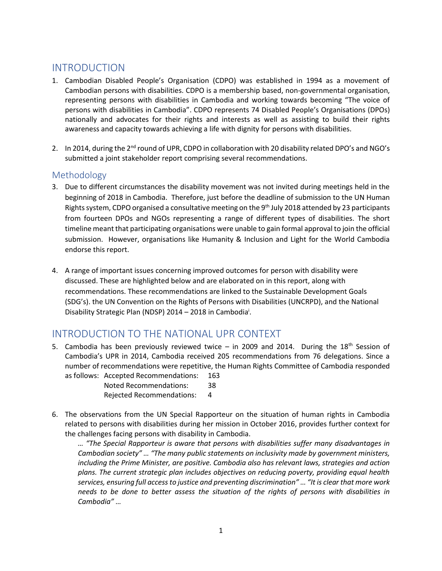# INTRODUCTION

- 1. Cambodian Disabled People's Organisation (CDPO) was established in 1994 as a movement of Cambodian persons with disabilities. CDPO is a membership based, non-governmental organisation, representing persons with disabilities in Cambodia and working towards becoming "The voice of persons with disabilities in Cambodia". CDPO represents 74 Disabled People's Organisations (DPOs) nationally and advocates for their rights and interests as well as assisting to build their rights awareness and capacity towards achieving a life with dignity for persons with disabilities.
- 2. In 2014, during the 2<sup>nd</sup> round of UPR, CDPO in collaboration with 20 disability related DPO's and NGO's submitted a joint stakeholder report comprising several recommendations.

### Methodology

- 3. Due to different circumstances the disability movement was not invited during meetings held in the beginning of 2018 in Cambodia. Therefore, just before the deadline of submission to the UN Human Rights system, CDPO organised a consultative meeting on the 9th July 2018 attended by 23 participants from fourteen DPOs and NGOs representing a range of different types of disabilities. The short timeline meant that participating organisations were unable to gain formal approval to join the official submission. However, organisations like Humanity & Inclusion and Light for the World Cambodia endorse this report.
- 4. A range of important issues concerning improved outcomes for person with disability were discussed. These are highlighted below and are elaborated on in this report, along with recommendations. These recommendations are linked to the Sustainable Development Goals (SDG's). the UN Convention on the Rights of Persons with Disabilities (UNCRPD), and the National Disability Strategic Plan (NDSP) 2014 - 2018 in Cambodia<sup>i</sup>.

# INTRODUCTION TO THE NATIONAL UPR CONTEXT

5. Cambodia has been previously reviewed twice  $-$  in 2009 and 2014. During the 18<sup>th</sup> Session of Cambodia's UPR in 2014, Cambodia received 205 recommendations from 76 delegations. Since a number of recommendations were repetitive, the Human Rights Committee of Cambodia responded as follows: Accepted Recommendations: 163

Noted Recommendations: 38 Rejected Recommendations: 4

6. The observations from the UN Special Rapporteur on the situation of human rights in Cambodia related to persons with disabilities during her mission in October 2016, provides further context for the challenges facing persons with disability in Cambodia.

*… "The Special Rapporteur is aware that persons with disabilities suffer many disadvantages in Cambodian society" … "The many public statements on inclusivity made by government ministers, including the Prime Minister, are positive. Cambodia also has relevant laws, strategies and action plans. The current strategic plan includes objectives on reducing poverty, providing equal health services, ensuring full access to justice and preventing discrimination" … "It is clear that more work needs to be done to better assess the situation of the rights of persons with disabilities in Cambodia" …*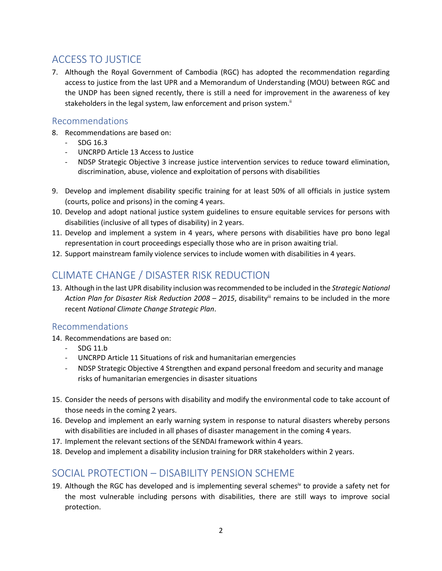# ACCESS TO JUSTICE

7. Although the Royal Government of Cambodia (RGC) has adopted the recommendation regarding access to justice from the last UPR and a Memorandum of Understanding (MOU) between RGC and the UNDP has been signed recently, there is still a need for improvement in the awareness of key stakeholders in the legal system, law enforcement and prison system.<sup>ii</sup>

#### Recommendations

- 8. Recommendations are based on:
	- SDG 16.3
	- UNCRPD Article 13 Access to Justice
	- NDSP Strategic Objective 3 increase justice intervention services to reduce toward elimination, discrimination, abuse, violence and exploitation of persons with disabilities
- 9. Develop and implement disability specific training for at least 50% of all officials in justice system (courts, police and prisons) in the coming 4 years.
- 10. Develop and adopt national justice system guidelines to ensure equitable services for persons with disabilities (inclusive of all types of disability) in 2 years.
- 11. Develop and implement a system in 4 years, where persons with disabilities have pro bono legal representation in court proceedings especially those who are in prison awaiting trial.
- 12. Support mainstream family violence services to include women with disabilities in 4 years.

# CLIMATE CHANGE / DISASTER RISK REDUCTION

13. Although in the last UPR disability inclusion was recommended to be included in the *Strategic National Action Plan for Disaster Risk Reduction 2008 – 2015*, disabilityiii remains to be included in the more recent *National Climate Change Strategic Plan*.

## Recommendations

- 14. Recommendations are based on:
	- SDG 11.b
	- UNCRPD Article 11 Situations of risk and humanitarian emergencies
	- NDSP Strategic Objective 4 Strengthen and expand personal freedom and security and manage risks of humanitarian emergencies in disaster situations
- 15. Consider the needs of persons with disability and modify the environmental code to take account of those needs in the coming 2 years.
- 16. Develop and implement an early warning system in response to natural disasters whereby persons with disabilities are included in all phases of disaster management in the coming 4 years.
- 17. Implement the relevant sections of the SENDAI framework within 4 years.
- 18. Develop and implement a disability inclusion training for DRR stakeholders within 2 years.

# SOCIAL PROTECTION – DISABILITY PENSION SCHEME

19. Although the RGC has developed and is implementing several schemes<sup>iv</sup> to provide a safety net for the most vulnerable including persons with disabilities, there are still ways to improve social protection.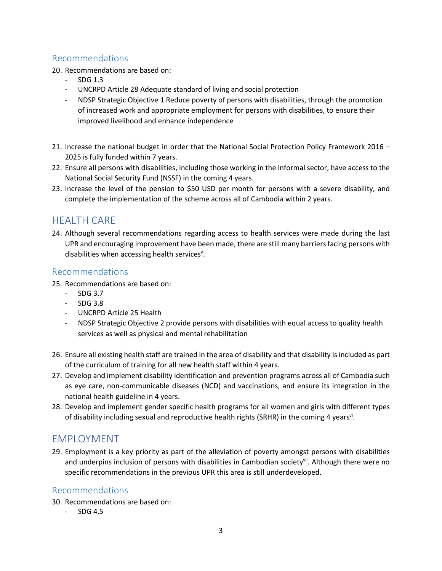## Recommendations

20. Recommendations are based on:

- SDG 1.3
- UNCRPD Article 28 Adequate standard of living and social protection
- NDSP Strategic Objective 1 Reduce poverty of persons with disabilities, through the promotion of increased work and appropriate employment for persons with disabilities, to ensure their improved livelihood and enhance independence
- 21. Increase the national budget in order that the National Social Protection Policy Framework 2016 2025 is fully funded within 7 years.
- 22. Ensure all persons with disabilities, including those working in the informal sector, have access to the National Social Security Fund (NSSF) in the coming 4 years.
- 23. Increase the level of the pension to \$50 USD per month for persons with a severe disability, and complete the implementation of the scheme across all of Cambodia within 2 years.

## HEALTH CARE

24. Although several recommendations regarding access to health services were made during the last UPR and encouraging improvement have been made, there are still many barriers facing persons with disabilities when accessing health services<sup>v</sup>.

### Recommendations

- 25. Recommendations are based on:
	- SDG 3.7
	- $-$  SDG 3.8
	- UNCRPD Article 25 Health
	- NDSP Strategic Objective 2 provide persons with disabilities with equal access to quality health services as well as physical and mental rehabilitation
- 26. Ensure all existing health staff are trained in the area of disability and that disability is included as part of the curriculum of training for all new health staff within 4 years.
- 27. Develop and implement disability identification and prevention programs across all of Cambodia such as eye care, non-communicable diseases (NCD) and vaccinations, and ensure its integration in the national health guideline in 4 years.
- 28. Develop and implement gender specific health programs for all women and girls with different types of disability including sexual and reproductive health rights (SRHR) in the coming 4 years<sup>vi</sup>.

# EMPLOYMENT

29. Employment is a key priority as part of the alleviation of poverty amongst persons with disabilities and underpins inclusion of persons with disabilities in Cambodian society<sup>vii</sup>. Although there were no specific recommendations in the previous UPR this area is still underdeveloped.

#### Recommendations

- 30. Recommendations are based on:
	- SDG 4.5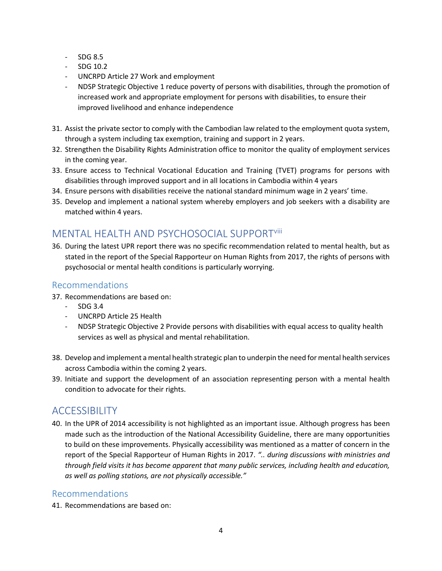- SDG 8.5
- SDG 10.2
- UNCRPD Article 27 Work and employment
- NDSP Strategic Objective 1 reduce poverty of persons with disabilities, through the promotion of increased work and appropriate employment for persons with disabilities, to ensure their improved livelihood and enhance independence
- 31. Assist the private sector to comply with the Cambodian law related to the employment quota system, through a system including tax exemption, training and support in 2 years.
- 32. Strengthen the Disability Rights Administration office to monitor the quality of employment services in the coming year.
- 33. Ensure access to Technical Vocational Education and Training (TVET) programs for persons with disabilities through improved support and in all locations in Cambodia within 4 years
- 34. Ensure persons with disabilities receive the national standard minimum wage in 2 years' time.
- 35. Develop and implement a national system whereby employers and job seekers with a disability are matched within 4 years.

# MENTAL HEALTH AND PSYCHOSOCIAL SUPPORTviii

36. During the latest UPR report there was no specific recommendation related to mental health, but as stated in the report of the Special Rapporteur on Human Rights from 2017, the rights of persons with psychosocial or mental health conditions is particularly worrying.

## Recommendations

- 37. Recommendations are based on:
	- SDG 3.4
	- UNCRPD Article 25 Health
	- NDSP Strategic Objective 2 Provide persons with disabilities with equal access to quality health services as well as physical and mental rehabilitation.
- 38. Develop and implement a mental health strategic plan to underpin the need for mental health services across Cambodia within the coming 2 years.
- 39. Initiate and support the development of an association representing person with a mental health condition to advocate for their rights.

# ACCESSIBILITY

40. In the UPR of 2014 accessibility is not highlighted as an important issue. Although progress has been made such as the introduction of the National Accessibility Guideline, there are many opportunities to build on these improvements. Physically accessibility was mentioned as a matter of concern in the report of the Special Rapporteur of Human Rights in 2017. *".. during discussions with ministries and through field visits it has become apparent that many public services, including health and education, as well as polling stations, are not physically accessible."*

## Recommendations

41. Recommendations are based on: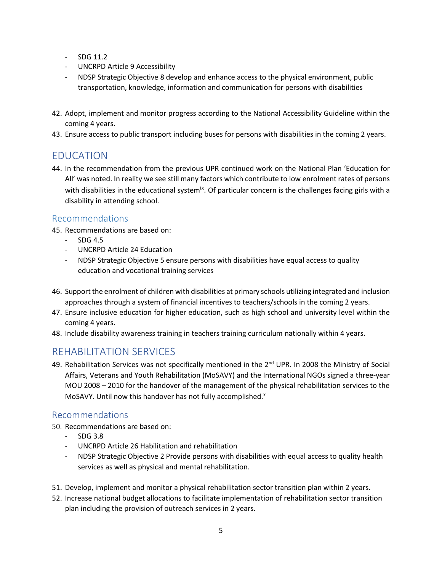- SDG 11.2
- UNCRPD Article 9 Accessibility
- NDSP Strategic Objective 8 develop and enhance access to the physical environment, public transportation, knowledge, information and communication for persons with disabilities
- 42. Adopt, implement and monitor progress according to the National Accessibility Guideline within the coming 4 years.
- 43. Ensure access to public transport including buses for persons with disabilities in the coming 2 years.

## EDUCATION

44. In the recommendation from the previous UPR continued work on the National Plan 'Education for All' was noted. In reality we see still many factors which contribute to low enrolment rates of persons with disabilities in the educational system<sup>ix</sup>. Of particular concern is the challenges facing girls with a disability in attending school.

### Recommendations

45. Recommendations are based on:

- SDG 4.5
- UNCRPD Article 24 Education
- NDSP Strategic Objective 5 ensure persons with disabilities have equal access to quality education and vocational training services
- 46. Support the enrolment of children with disabilities at primary schools utilizing integrated and inclusion approaches through a system of financial incentives to teachers/schools in the coming 2 years.
- 47. Ensure inclusive education for higher education, such as high school and university level within the coming 4 years.
- 48. Include disability awareness training in teachers training curriculum nationally within 4 years.

# REHABILITATION SERVICES

49. Rehabilitation Services was not specifically mentioned in the 2<sup>nd</sup> UPR. In 2008 the Ministry of Social Affairs, Veterans and Youth Rehabilitation (MoSAVY) and the International NGOs signed a three-year MOU 2008 – 2010 for the handover of the management of the physical rehabilitation services to the MoSAVY. Until now this handover has not fully accomplished.<sup>x</sup>

## Recommendations

- 50. Recommendations are based on:
	- SDG 3.8
	- UNCRPD Article 26 Habilitation and rehabilitation
	- NDSP Strategic Objective 2 Provide persons with disabilities with equal access to quality health services as well as physical and mental rehabilitation.
- 51. Develop, implement and monitor a physical rehabilitation sector transition plan within 2 years.
- 52. Increase national budget allocations to facilitate implementation of rehabilitation sector transition plan including the provision of outreach services in 2 years.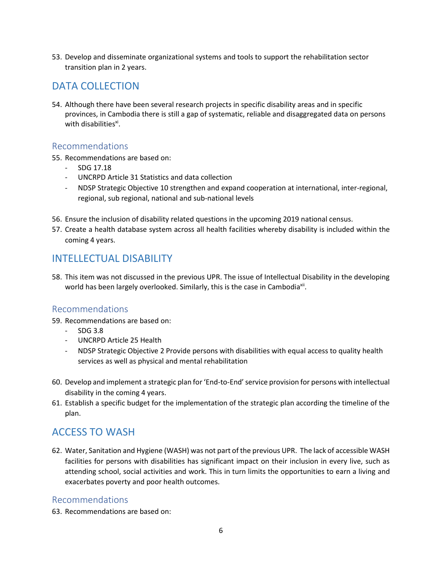53. Develop and disseminate organizational systems and tools to support the rehabilitation sector transition plan in 2 years.

## DATA COLLECTION

54. Although there have been several research projects in specific disability areas and in specific provinces, in Cambodia there is still a gap of systematic, reliable and disaggregated data on persons with disabilities<sup>xi</sup>.

### Recommendations

- 55. Recommendations are based on:
	- SDG 17.18
	- UNCRPD Article 31 Statistics and data collection
	- NDSP Strategic Objective 10 strengthen and expand cooperation at international, inter-regional, regional, sub regional, national and sub-national levels
- 56. Ensure the inclusion of disability related questions in the upcoming 2019 national census.
- 57. Create a health database system across all health facilities whereby disability is included within the coming 4 years.

# INTELLECTUAL DISABILITY

58. This item was not discussed in the previous UPR. The issue of Intellectual Disability in the developing world has been largely overlooked. Similarly, this is the case in Cambodia<sup>xii</sup>.

#### Recommendations

- 59. Recommendations are based on:
	- SDG 3.8
	- UNCRPD Article 25 Health
	- NDSP Strategic Objective 2 Provide persons with disabilities with equal access to quality health services as well as physical and mental rehabilitation
- 60. Develop and implement a strategic plan for 'End-to-End' service provision for persons with intellectual disability in the coming 4 years.
- 61. Establish a specific budget for the implementation of the strategic plan according the timeline of the plan.

## ACCESS TO WASH

62. Water, Sanitation and Hygiene (WASH) was not part of the previous UPR. The lack of accessible WASH facilities for persons with disabilities has significant impact on their inclusion in every live, such as attending school, social activities and work. This in turn limits the opportunities to earn a living and exacerbates poverty and poor health outcomes.

## Recommendations

63. Recommendations are based on: